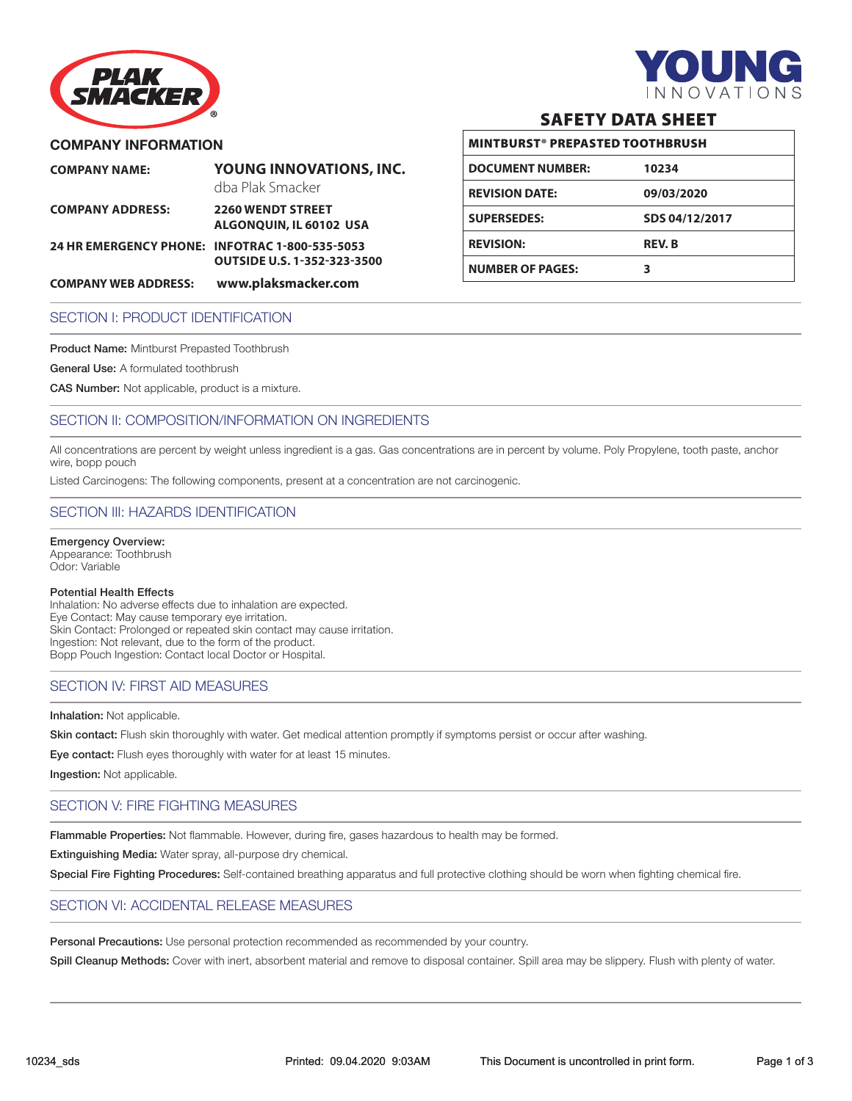

# PLA) SMACKER

# **COMPANY INFORMATION**

| <b>COMPANY NAME:</b>                           | YOUNG INNOVATIONS, INC.<br>dba Plak Smacker         |
|------------------------------------------------|-----------------------------------------------------|
| <b>COMPANY ADDRESS:</b>                        | <b>2260 WENDT STREET</b><br>ALGONOUIN, IL 60102 USA |
| 24 HR EMERGENCY PHONE: INFOTRAC 1-800-535-5053 | <b>OUTSIDE U.S. 1-352-323-3500</b>                  |
|                                                |                                                     |

#### **COMPANY WEB ADDRESS: www.plaksmacker.com**

# SAFETY DATA SHEET

| <b>MINTBURST® PREPASTED TOOTHBRUSH</b> |                |  |
|----------------------------------------|----------------|--|
| <b>DOCUMENT NUMBER:</b>                | 10234          |  |
| <b>REVISION DATE:</b>                  | 09/03/2020     |  |
| <b>SUPERSEDES:</b>                     | SDS 04/12/2017 |  |
| <b>REVISION:</b>                       | <b>REV.B</b>   |  |
| <b>NUMBER OF PAGES:</b>                | 3              |  |

## SECTION I: PRODUCT IDENTIFICATION

Product Name: Mintburst Prepasted Toothbrush

General Use: A formulated toothbrush

CAS Number: Not applicable, product is a mixture.

# SECTION II: COMPOSITION/INFORMATION ON INGREDIENTS

All concentrations are percent by weight unless ingredient is a gas. Gas concentrations are in percent by volume. Poly Propylene, tooth paste, anchor wire, bopp pouch

Listed Carcinogens: The following components, present at a concentration are not carcinogenic.

# SECTION III: HAZARDS IDENTIFICATION

Emergency Overview: Appearance: Toothbrush Odor: Variable

#### Potential Health Effects

Inhalation: No adverse effects due to inhalation are expected. Eye Contact: May cause temporary eye irritation. Skin Contact: Prolonged or repeated skin contact may cause irritation. Ingestion: Not relevant, due to the form of the product. Bopp Pouch Ingestion: Contact local Doctor or Hospital.

#### SECTION IV: FIRST AID MEASURES

#### Inhalation: Not applicable.

Skin contact: Flush skin thoroughly with water. Get medical attention promptly if symptoms persist or occur after washing.

Eye contact: Flush eyes thoroughly with water for at least 15 minutes.

Ingestion: Not applicable.

# SECTION V: FIRE FIGHTING MEASURES

Flammable Properties: Not flammable. However, during fire, gases hazardous to health may be formed.

Extinguishing Media: Water spray, all-purpose dry chemical.

Special Fire Fighting Procedures: Self-contained breathing apparatus and full protective clothing should be worn when fighting chemical fire.

#### SECTION VI: ACCIDENTAL RELEASE MEASURES

Personal Precautions: Use personal protection recommended as recommended by your country.

Spill Cleanup Methods: Cover with inert, absorbent material and remove to disposal container. Spill area may be slippery. Flush with plenty of water.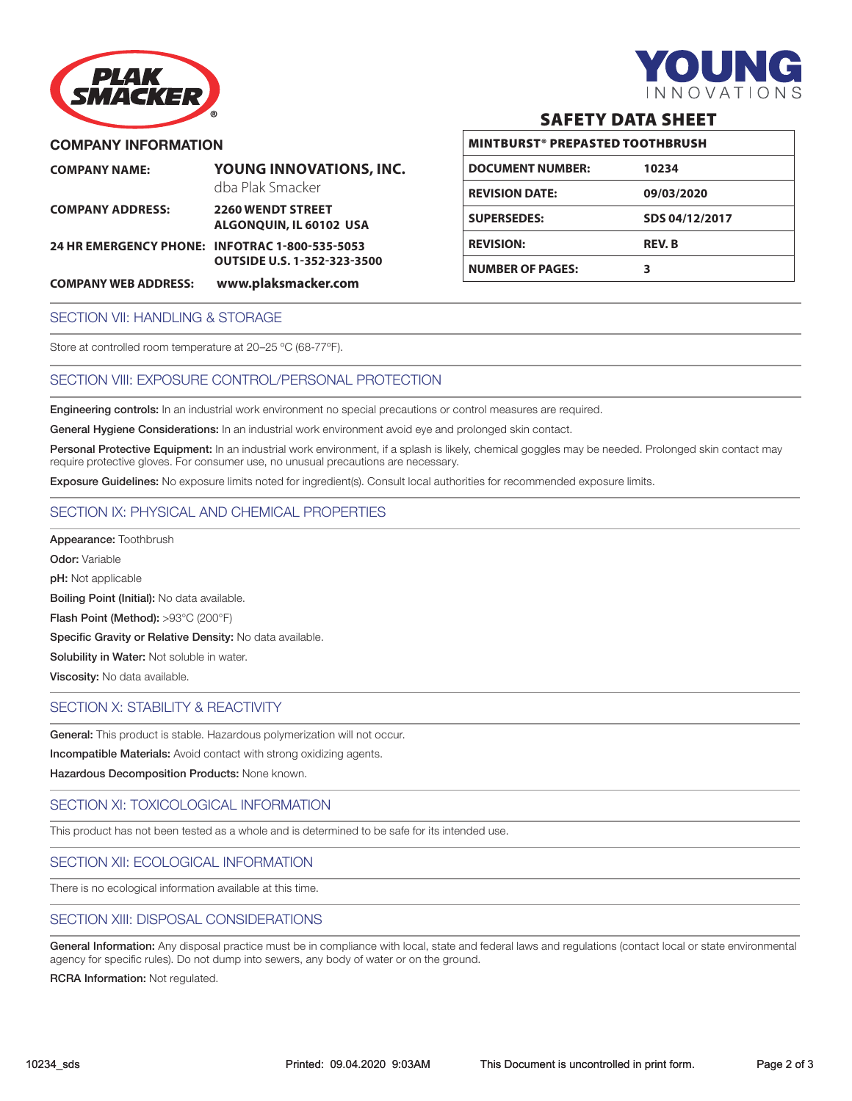

# **COMPANY INFORMATION**

PLAI SMACKER

| <b>COMPANY NAME:</b>                           | YOUNG INNOVATIONS, INC.<br>dba Plak Smacker         |
|------------------------------------------------|-----------------------------------------------------|
| <b>COMPANY ADDRESS:</b>                        | <b>2260 WENDT STREET</b><br>ALGONOUIN, IL 60102 USA |
| 24 HR EMERGENCY PHONE: INFOTRAC 1-800-535-5053 | <b>OUTSIDE U.S. 1-352-323-3500</b>                  |
| <b>COMPANY WEB ADDRESS:</b>                    | www.plaksmacker.com                                 |

# SAFETY DATA SHEET

| <b>MINTBURST® PREPASTED TOOTHBRUSH</b> |                |  |
|----------------------------------------|----------------|--|
| <b>DOCUMENT NUMBER:</b>                | 10234          |  |
| <b>REVISION DATE:</b>                  | 09/03/2020     |  |
| <b>SUPERSEDES:</b>                     | SDS 04/12/2017 |  |
| <b>REVISION:</b>                       | <b>REV.B</b>   |  |
| <b>NUMBER OF PAGES:</b>                | 3              |  |

#### SECTION VII: HANDLING & STORAGE

Store at controlled room temperature at 20–25 ºC (68-77ºF).

#### SECTION VIII: EXPOSURE CONTROL/PERSONAL PROTECTION

Engineering controls: In an industrial work environment no special precautions or control measures are required.

General Hygiene Considerations: In an industrial work environment avoid eye and prolonged skin contact.

Personal Protective Equipment: In an industrial work environment, if a splash is likely, chemical goggles may be needed. Prolonged skin contact may require protective gloves. For consumer use, no unusual precautions are necessary.

Exposure Guidelines: No exposure limits noted for ingredient(s). Consult local authorities for recommended exposure limits.

# SECTION IX: PHYSICAL AND CHEMICAL PROPERTIES

Appearance: Toothbrush Odor: Variable pH: Not applicable Boiling Point (Initial): No data available. Flash Point (Method): >93°C (200°F) Specific Gravity or Relative Density: No data available. Solubility in Water: Not soluble in water. Viscosity: No data available.

#### SECTION X: STABILITY & REACTIVITY

General: This product is stable. Hazardous polymerization will not occur.

Incompatible Materials: Avoid contact with strong oxidizing agents.

Hazardous Decomposition Products: None known.

#### SECTION XI: TOXICOLOGICAL INFORMATION

This product has not been tested as a whole and is determined to be safe for its intended use.

#### SECTION XII: ECOLOGICAL INFORMATION

There is no ecological information available at this time.

#### SECTION XIII: DISPOSAL CONSIDERATIONS

General Information: Any disposal practice must be in compliance with local, state and federal laws and regulations (contact local or state environmental agency for specific rules). Do not dump into sewers, any body of water or on the ground.

RCRA Information: Not regulated.